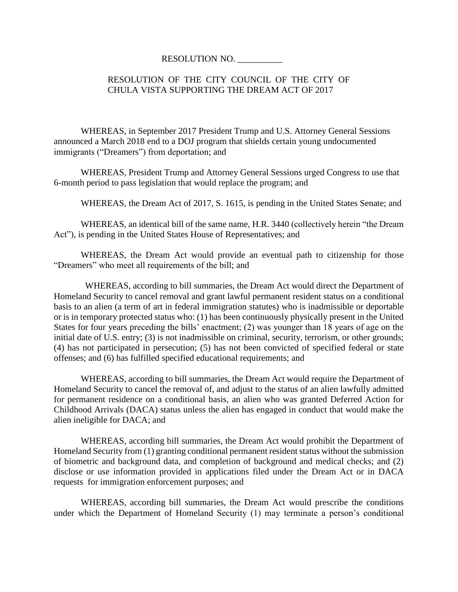## RESOLUTION NO. \_\_\_\_\_\_\_\_\_\_

## RESOLUTION OF THE CITY COUNCIL OF THE CITY OF CHULA VISTA SUPPORTING THE DREAM ACT OF 2017

WHEREAS, in September 2017 President Trump and U.S. Attorney General Sessions announced a March 2018 end to a DOJ program that shields certain young undocumented immigrants ("Dreamers") from deportation; and

WHEREAS, President Trump and Attorney General Sessions urged Congress to use that 6-month period to pass legislation that would replace the program; and

WHEREAS, the Dream Act of 2017, S. 1615, is pending in the United States Senate; and

WHEREAS, an identical bill of the same name, H.R. 3440 (collectively herein "the Dream Act"), is pending in the United States House of Representatives; and

WHEREAS, the Dream Act would provide an eventual path to citizenship for those "Dreamers" who meet all requirements of the bill; and

WHEREAS, according to bill summaries, the Dream Act would direct the Department of Homeland Security to cancel removal and grant lawful permanent resident status on a conditional basis to an alien (a term of art in federal immigration statutes) who is inadmissible or deportable or is in temporary protected status who: (1) has been continuously physically present in the United States for four years preceding the bills' enactment; (2) was younger than 18 years of age on the initial date of U.S. entry; (3) is not inadmissible on criminal, security, terrorism, or other grounds; (4) has not participated in persecution; (5) has not been convicted of specified federal or state offenses; and (6) has fulfilled specified educational requirements; and

WHEREAS, according to bill summaries, the Dream Act would require the Department of Homeland Security to cancel the removal of, and adjust to the status of an alien lawfully admitted for permanent residence on a conditional basis, an alien who was granted Deferred Action for Childhood Arrivals (DACA) status unless the alien has engaged in conduct that would make the alien ineligible for DACA; and

WHEREAS, according bill summaries, the Dream Act would prohibit the Department of Homeland Security from (1) granting conditional permanent resident status without the submission of biometric and background data, and completion of background and medical checks; and (2) disclose or use information provided in applications filed under the Dream Act or in DACA requests for immigration enforcement purposes; and

WHEREAS, according bill summaries, the Dream Act would prescribe the conditions under which the Department of Homeland Security (1) may terminate a person's conditional